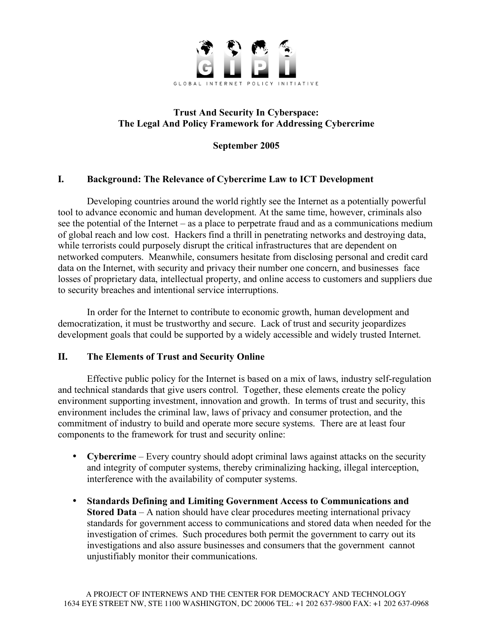

### **Trust And Security In Cyberspace: The Legal And Policy Framework for Addressing Cybercrime**

**September 2005**

## **I. Background: The Relevance of Cybercrime Law to ICT Development**

Developing countries around the world rightly see the Internet as a potentially powerful tool to advance economic and human development. At the same time, however, criminals also see the potential of the Internet – as a place to perpetrate fraud and as a communications medium of global reach and low cost. Hackers find a thrill in penetrating networks and destroying data, while terrorists could purposely disrupt the critical infrastructures that are dependent on networked computers. Meanwhile, consumers hesitate from disclosing personal and credit card data on the Internet, with security and privacy their number one concern, and businesses face losses of proprietary data, intellectual property, and online access to customers and suppliers due to security breaches and intentional service interruptions.

In order for the Internet to contribute to economic growth, human development and democratization, it must be trustworthy and secure. Lack of trust and security jeopardizes development goals that could be supported by a widely accessible and widely trusted Internet.

## **II. The Elements of Trust and Security Online**

Effective public policy for the Internet is based on a mix of laws, industry self-regulation and technical standards that give users control. Together, these elements create the policy environment supporting investment, innovation and growth. In terms of trust and security, this environment includes the criminal law, laws of privacy and consumer protection, and the commitment of industry to build and operate more secure systems. There are at least four components to the framework for trust and security online:

- **Cybercrime** Every country should adopt criminal laws against attacks on the security and integrity of computer systems, thereby criminalizing hacking, illegal interception, interference with the availability of computer systems.
- **Standards Defining and Limiting Government Access to Communications and Stored Data** – A nation should have clear procedures meeting international privacy standards for government access to communications and stored data when needed for the investigation of crimes. Such procedures both permit the government to carry out its investigations and also assure businesses and consumers that the government cannot unjustifiably monitor their communications.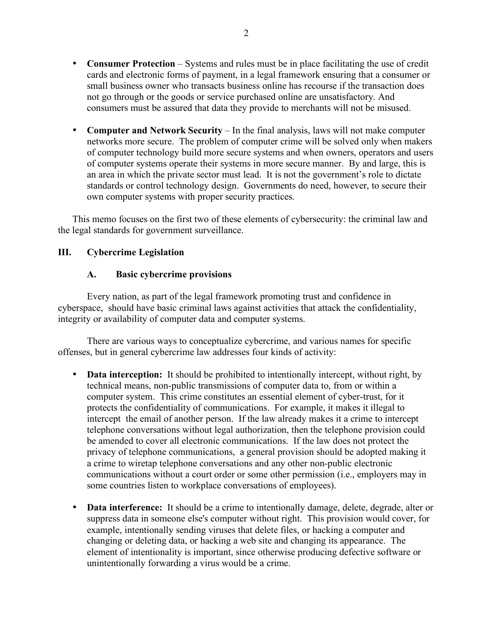- **Consumer Protection** Systems and rules must be in place facilitating the use of credit cards and electronic forms of payment, in a legal framework ensuring that a consumer or small business owner who transacts business online has recourse if the transaction does not go through or the goods or service purchased online are unsatisfactory. And consumers must be assured that data they provide to merchants will not be misused.
- **Computer and Network Security** In the final analysis, laws will not make computer networks more secure. The problem of computer crime will be solved only when makers of computer technology build more secure systems and when owners, operators and users of computer systems operate their systems in more secure manner. By and large, this is an area in which the private sector must lead. It is not the government's role to dictate standards or control technology design. Governments do need, however, to secure their own computer systems with proper security practices.

This memo focuses on the first two of these elements of cybersecurity: the criminal law and the legal standards for government surveillance.

## **III. Cybercrime Legislation**

### **A. Basic cybercrime provisions**

Every nation, as part of the legal framework promoting trust and confidence in cyberspace, should have basic criminal laws against activities that attack the confidentiality, integrity or availability of computer data and computer systems.

There are various ways to conceptualize cybercrime, and various names for specific offenses, but in general cybercrime law addresses four kinds of activity:

- **Data interception:** It should be prohibited to intentionally intercept, without right, by technical means, non-public transmissions of computer data to, from or within a computer system. This crime constitutes an essential element of cyber-trust, for it protects the confidentiality of communications. For example, it makes it illegal to intercept the email of another person. If the law already makes it a crime to intercept telephone conversations without legal authorization, then the telephone provision could be amended to cover all electronic communications. If the law does not protect the privacy of telephone communications, a general provision should be adopted making it a crime to wiretap telephone conversations and any other non-public electronic communications without a court order or some other permission (i.e., employers may in some countries listen to workplace conversations of employees).
- **Data interference:** It should be a crime to intentionally damage, delete, degrade, alter or suppress data in someone else's computer without right. This provision would cover, for example, intentionally sending viruses that delete files, or hacking a computer and changing or deleting data, or hacking a web site and changing its appearance. The element of intentionality is important, since otherwise producing defective software or unintentionally forwarding a virus would be a crime.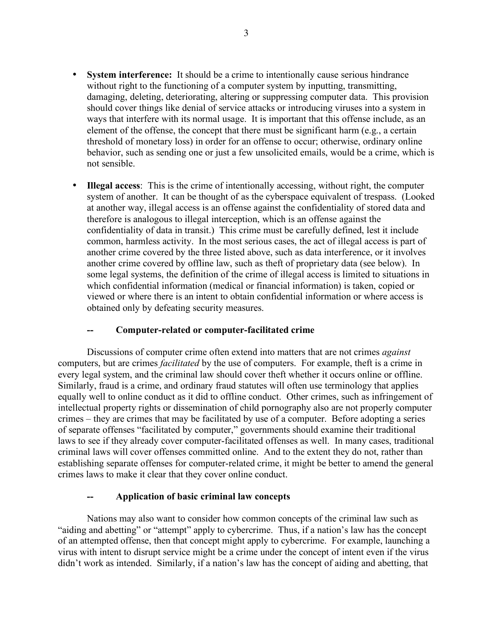- **System interference:** It should be a crime to intentionally cause serious hindrance without right to the functioning of a computer system by inputting, transmitting, damaging, deleting, deteriorating, altering or suppressing computer data. This provision should cover things like denial of service attacks or introducing viruses into a system in ways that interfere with its normal usage. It is important that this offense include, as an element of the offense, the concept that there must be significant harm (e.g., a certain threshold of monetary loss) in order for an offense to occur; otherwise, ordinary online behavior, such as sending one or just a few unsolicited emails, would be a crime, which is not sensible.
- **Illegal access**: This is the crime of intentionally accessing, without right, the computer system of another. It can be thought of as the cyberspace equivalent of trespass. (Looked at another way, illegal access is an offense against the confidentiality of stored data and therefore is analogous to illegal interception, which is an offense against the confidentiality of data in transit.) This crime must be carefully defined, lest it include common, harmless activity. In the most serious cases, the act of illegal access is part of another crime covered by the three listed above, such as data interference, or it involves another crime covered by offline law, such as theft of proprietary data (see below). In some legal systems, the definition of the crime of illegal access is limited to situations in which confidential information (medical or financial information) is taken, copied or viewed or where there is an intent to obtain confidential information or where access is obtained only by defeating security measures.

### $Computer-related or computer-facilitated crime$

Discussions of computer crime often extend into matters that are not crimes *against* computers, but are crimes *facilitated* by the use of computers. For example, theft is a crime in every legal system, and the criminal law should cover theft whether it occurs online or offline. Similarly, fraud is a crime, and ordinary fraud statutes will often use terminology that applies equally well to online conduct as it did to offline conduct. Other crimes, such as infringement of intellectual property rights or dissemination of child pornography also are not properly computer crimes – they are crimes that may be facilitated by use of a computer. Before adopting a series of separate offenses "facilitated by computer," governments should examine their traditional laws to see if they already cover computer-facilitated offenses as well. In many cases, traditional criminal laws will cover offenses committed online. And to the extent they do not, rather than establishing separate offenses for computer-related crime, it might be better to amend the general crimes laws to make it clear that they cover online conduct.

### **-- Application of basic criminal law concepts**

Nations may also want to consider how common concepts of the criminal law such as "aiding and abetting" or "attempt" apply to cybercrime. Thus, if a nation's law has the concept of an attempted offense, then that concept might apply to cybercrime. For example, launching a virus with intent to disrupt service might be a crime under the concept of intent even if the virus didn't work as intended. Similarly, if a nation's law has the concept of aiding and abetting, that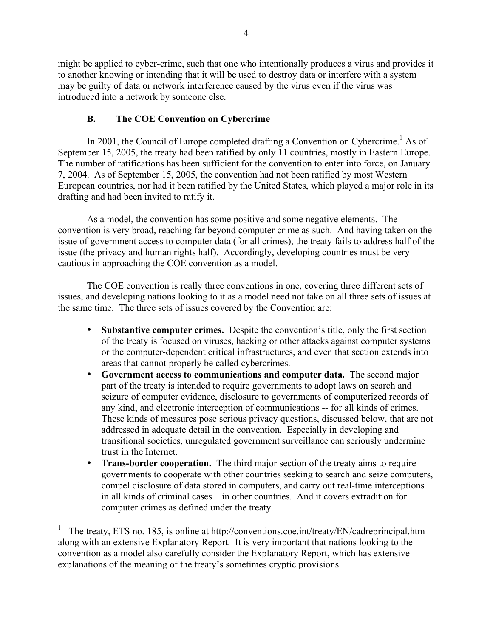might be applied to cyber-crime, such that one who intentionally produces a virus and provides it to another knowing or intending that it will be used to destroy data or interfere with a system may be guilty of data or network interference caused by the virus even if the virus was introduced into a network by someone else.

## **B. The COE Convention on Cybercrime**

In 2001, the Council of Europe completed drafting a Convention on Cybercrime.<sup>1</sup> As of September 15, 2005, the treaty had been ratified by only 11 countries, mostly in Eastern Europe. The number of ratifications has been sufficient for the convention to enter into force, on January 7, 2004. As of September 15, 2005, the convention had not been ratified by most Western European countries, nor had it been ratified by the United States, which played a major role in its drafting and had been invited to ratify it.

As a model, the convention has some positive and some negative elements. The convention is very broad, reaching far beyond computer crime as such. And having taken on the issue of government access to computer data (for all crimes), the treaty fails to address half of the issue (the privacy and human rights half). Accordingly, developing countries must be very cautious in approaching the COE convention as a model.

The COE convention is really three conventions in one, covering three different sets of issues, and developing nations looking to it as a model need not take on all three sets of issues at the same time. The three sets of issues covered by the Convention are:

- **Substantive computer crimes.** Despite the convention's title, only the first section of the treaty is focused on viruses, hacking or other attacks against computer systems or the computer-dependent critical infrastructures, and even that section extends into areas that cannot properly be called cybercrimes.
- **Government access to communications and computer data.** The second major part of the treaty is intended to require governments to adopt laws on search and seizure of computer evidence, disclosure to governments of computerized records of any kind, and electronic interception of communications -- for all kinds of crimes. These kinds of measures pose serious privacy questions, discussed below, that are not addressed in adequate detail in the convention. Especially in developing and transitional societies, unregulated government surveillance can seriously undermine trust in the Internet.
- **Trans-border cooperation.** The third major section of the treaty aims to require governments to cooperate with other countries seeking to search and seize computers, compel disclosure of data stored in computers, and carry out real-time interceptions – in all kinds of criminal cases – in other countries. And it covers extradition for computer crimes as defined under the treaty.

<sup>1</sup> The treaty, ETS no. 185, is online at http://conventions.coe.int/treaty/EN/cadreprincipal.htm along with an extensive Explanatory Report. It is very important that nations looking to the convention as a model also carefully consider the Explanatory Report, which has extensive explanations of the meaning of the treaty's sometimes cryptic provisions.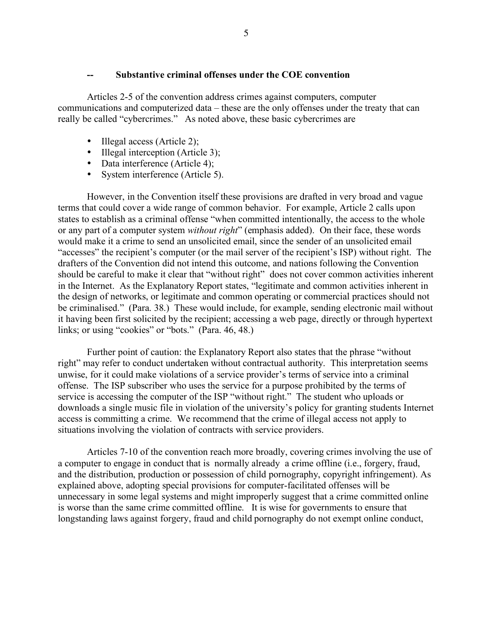#### **-- Substantive criminal offenses under the COE convention**

Articles 2-5 of the convention address crimes against computers, computer communications and computerized data – these are the only offenses under the treaty that can really be called "cybercrimes." As noted above, these basic cybercrimes are

- Illegal access (Article 2);
- Illegal interception (Article 3):
- Data interference (Article 4);
- System interference (Article 5).

However, in the Convention itself these provisions are drafted in very broad and vague terms that could cover a wide range of common behavior. For example, Article 2 calls upon states to establish as a criminal offense "when committed intentionally, the access to the whole or any part of a computer system *without right*" (emphasis added). On their face, these words would make it a crime to send an unsolicited email, since the sender of an unsolicited email "accesses" the recipient's computer (or the mail server of the recipient's ISP) without right. The drafters of the Convention did not intend this outcome, and nations following the Convention should be careful to make it clear that "without right" does not cover common activities inherent in the Internet. As the Explanatory Report states, "legitimate and common activities inherent in the design of networks, or legitimate and common operating or commercial practices should not be criminalised." (Para. 38.) These would include, for example, sending electronic mail without it having been first solicited by the recipient; accessing a web page, directly or through hypertext links; or using "cookies" or "bots." (Para. 46, 48.)

Further point of caution: the Explanatory Report also states that the phrase "without right" may refer to conduct undertaken without contractual authority. This interpretation seems unwise, for it could make violations of a service provider's terms of service into a criminal offense. The ISP subscriber who uses the service for a purpose prohibited by the terms of service is accessing the computer of the ISP "without right." The student who uploads or downloads a single music file in violation of the university's policy for granting students Internet access is committing a crime. We recommend that the crime of illegal access not apply to situations involving the violation of contracts with service providers.

Articles 7-10 of the convention reach more broadly, covering crimes involving the use of a computer to engage in conduct that is normally already a crime offline (i.e., forgery, fraud, and the distribution, production or possession of child pornography, copyright infringement). As explained above, adopting special provisions for computer-facilitated offenses will be unnecessary in some legal systems and might improperly suggest that a crime committed online is worse than the same crime committed offline. It is wise for governments to ensure that longstanding laws against forgery, fraud and child pornography do not exempt online conduct,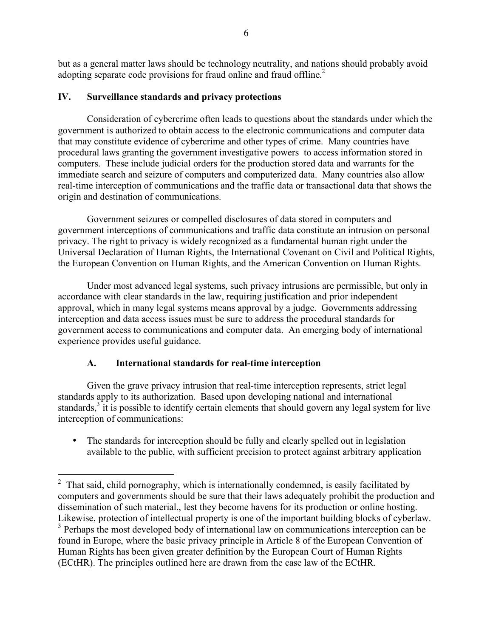but as a general matter laws should be technology neutrality, and nations should probably avoid adopting separate code provisions for fraud online and fraud offline.<sup>2</sup>

## **IV. Surveillance standards and privacy protections**

Consideration of cybercrime often leads to questions about the standards under which the government is authorized to obtain access to the electronic communications and computer data that may constitute evidence of cybercrime and other types of crime. Many countries have procedural laws granting the government investigative powers to access information stored in computers. These include judicial orders for the production stored data and warrants for the immediate search and seizure of computers and computerized data. Many countries also allow real-time interception of communications and the traffic data or transactional data that shows the origin and destination of communications.

Government seizures or compelled disclosures of data stored in computers and government interceptions of communications and traffic data constitute an intrusion on personal privacy. The right to privacy is widely recognized as a fundamental human right under the Universal Declaration of Human Rights, the International Covenant on Civil and Political Rights, the European Convention on Human Rights, and the American Convention on Human Rights.

Under most advanced legal systems, such privacy intrusions are permissible, but only in accordance with clear standards in the law, requiring justification and prior independent approval, which in many legal systems means approval by a judge. Governments addressing interception and data access issues must be sure to address the procedural standards for government access to communications and computer data. An emerging body of international experience provides useful guidance.

# **A. International standards for real-time interception**

Given the grave privacy intrusion that real-time interception represents, strict legal standards apply to its authorization. Based upon developing national and international standards,<sup>3</sup> it is possible to identify certain elements that should govern any legal system for live interception of communications:

• The standards for interception should be fully and clearly spelled out in legislation available to the public, with sufficient precision to protect against arbitrary application

 $2\degree$  That said, child pornography, which is internationally condemned, is easily facilitated by computers and governments should be sure that their laws adequately prohibit the production and dissemination of such material., lest they become havens for its production or online hosting.<br>Likewise, protection of intellectual property is one of the important building blocks of cyberlaw.  $\beta$  Perhaps the most developed body of international law on communications interception can be found in Europe, where the basic privacy principle in Article 8 of the European Convention of Human Rights has been given greater definition by the European Court of Human Rights (ECtHR). The principles outlined here are drawn from the case law of the ECtHR.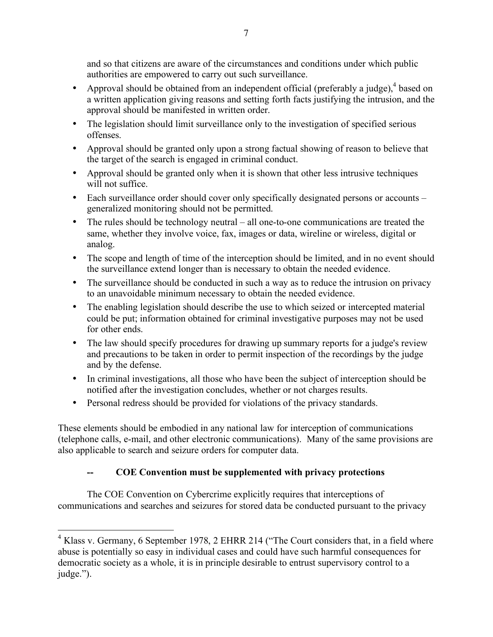and so that citizens are aware of the circumstances and conditions under which public authorities are empowered to carry out such surveillance.

- Approval should be obtained from an independent official (preferably a judge),<sup>4</sup> based on a written application giving reasons and setting forth facts justifying the intrusion, and the approval should be manifested in written order.
- The legislation should limit surveillance only to the investigation of specified serious offenses.
- Approval should be granted only upon a strong factual showing of reason to believe that the target of the search is engaged in criminal conduct.
- Approval should be granted only when it is shown that other less intrusive techniques will not suffice.
- Each surveillance order should cover only specifically designated persons or accounts generalized monitoring should not be permitted.
- The rules should be technology neutral all one-to-one communications are treated the same, whether they involve voice, fax, images or data, wireline or wireless, digital or analog.
- The scope and length of time of the interception should be limited, and in no event should the surveillance extend longer than is necessary to obtain the needed evidence.
- The surveillance should be conducted in such a way as to reduce the intrusion on privacy to an unavoidable minimum necessary to obtain the needed evidence.
- The enabling legislation should describe the use to which seized or intercepted material could be put; information obtained for criminal investigative purposes may not be used for other ends.
- The law should specify procedures for drawing up summary reports for a judge's review and precautions to be taken in order to permit inspection of the recordings by the judge and by the defense.
- In criminal investigations, all those who have been the subject of interception should be notified after the investigation concludes, whether or not charges results.
- Personal redress should be provided for violations of the privacy standards.

These elements should be embodied in any national law for interception of communications (telephone calls, e-mail, and other electronic communications). Many of the same provisions are also applicable to search and seizure orders for computer data.

# **-- COE Convention must be supplemented with privacy protections**

The COE Convention on Cybercrime explicitly requires that interceptions of communications and searches and seizures for stored data be conducted pursuant to the privacy

<sup>&</sup>lt;sup>4</sup> Klass v. Germany, 6 September 1978, 2 EHRR 214 ("The Court considers that, in a field where abuse is potentially so easy in individual cases and could have such harmful consequences for democratic society as a whole, it is in principle desirable to entrust supervisory control to a judge.").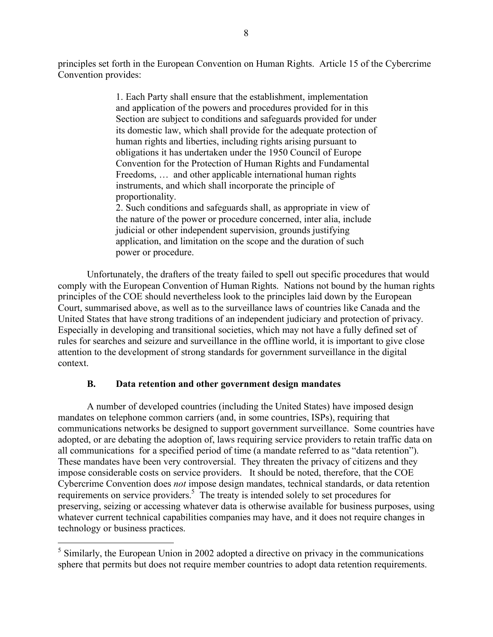principles set forth in the European Convention on Human Rights. Article 15 of the Cybercrime Convention provides:

> 1. Each Party shall ensure that the establishment, implementation and application of the powers and procedures provided for in this Section are subject to conditions and safeguards provided for under its domestic law, which shall provide for the adequate protection of human rights and liberties, including rights arising pursuant to obligations it has undertaken under the 1950 Council of Europe Convention for the Protection of Human Rights and Fundamental Freedoms, … and other applicable international human rights instruments, and which shall incorporate the principle of proportionality.

2. Such conditions and safeguards shall, as appropriate in view of the nature of the power or procedure concerned, inter alia, include judicial or other independent supervision, grounds justifying application, and limitation on the scope and the duration of such power or procedure.

Unfortunately, the drafters of the treaty failed to spell out specific procedures that would comply with the European Convention of Human Rights. Nations not bound by the human rights principles of the COE should nevertheless look to the principles laid down by the European Court, summarised above, as well as to the surveillance laws of countries like Canada and the United States that have strong traditions of an independent judiciary and protection of privacy. Especially in developing and transitional societies, which may not have a fully defined set of rules for searches and seizure and surveillance in the offline world, it is important to give close attention to the development of strong standards for government surveillance in the digital context.

#### **B. Data retention and other government design mandates**

A number of developed countries (including the United States) have imposed design mandates on telephone common carriers (and, in some countries, ISPs), requiring that communications networks be designed to support government surveillance. Some countries have adopted, or are debating the adoption of, laws requiring service providers to retain traffic data on all communications for a specified period of time (a mandate referred to as "data retention"). These mandates have been very controversial. They threaten the privacy of citizens and they impose considerable costs on service providers. It should be noted, therefore, that the COE Cybercrime Convention does *not* impose design mandates, technical standards, or data retention requirements on service providers.<sup>5</sup> The treaty is intended solely to set procedures for preserving, seizing or accessing whatever data is otherwise available for business purposes, using whatever current technical capabilities companies may have, and it does not require changes in technology or business practices.

<sup>&</sup>lt;sup>5</sup> Similarly, the European Union in 2002 adopted a directive on privacy in the communications sphere that permits but does not require member countries to adopt data retention requirements.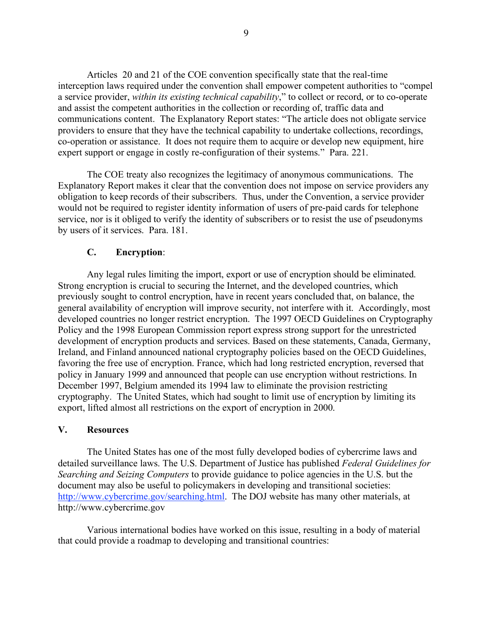Articles 20 and 21 of the COE convention specifically state that the real-time interception laws required under the convention shall empower competent authorities to "compel a service provider, *within its existing technical capability*," to collect or record, or to co-operate and assist the competent authorities in the collection or recording of, traffic data and communications content. The Explanatory Report states: "The article does not obligate service providers to ensure that they have the technical capability to undertake collections, recordings, co-operation or assistance. It does not require them to acquire or develop new equipment, hire expert support or engage in costly re-configuration of their systems." Para. 221.

The COE treaty also recognizes the legitimacy of anonymous communications. The Explanatory Report makes it clear that the convention does not impose on service providers any obligation to keep records of their subscribers. Thus, under the Convention, a service provider would not be required to register identity information of users of pre-paid cards for telephone service, nor is it obliged to verify the identity of subscribers or to resist the use of pseudonyms by users of it services. Para. 181.

### **C. Encryption**:

Any legal rules limiting the import, export or use of encryption should be eliminated. Strong encryption is crucial to securing the Internet, and the developed countries, which previously sought to control encryption, have in recent years concluded that, on balance, the general availability of encryption will improve security, not interfere with it. Accordingly, most developed countries no longer restrict encryption. The 1997 OECD Guidelines on Cryptography Policy and the 1998 European Commission report express strong support for the unrestricted development of encryption products and services. Based on these statements, Canada, Germany, Ireland, and Finland announced national cryptography policies based on the OECD Guidelines, favoring the free use of encryption. France, which had long restricted encryption, reversed that policy in January 1999 and announced that people can use encryption without restrictions. In December 1997, Belgium amended its 1994 law to eliminate the provision restricting cryptography. The United States, which had sought to limit use of encryption by limiting its export, lifted almost all restrictions on the export of encryption in 2000.

#### **V. Resources**

The United States has one of the most fully developed bodies of cybercrime laws and detailed surveillance laws. The U.S. Department of Justice has published *Federal Guidelines for Searching and Seizing Computers* to provide guidance to police agencies in the U.S. but the document may also be useful to policymakers in developing and transitional societies: http://www.cybercrime.gov/searching.html. The DOJ website has many other materials, at http://www.cybercrime.gov

Various international bodies have worked on this issue, resulting in a body of material that could provide a roadmap to developing and transitional countries: